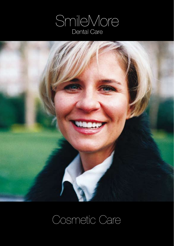



# Cosmetic Care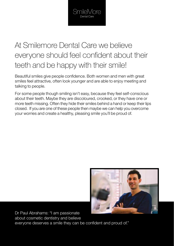### At Smilemore Dental Care we believe everyone should feel confident about their teeth and be happy with their smile!

Beautiful smiles give people confidence. Both women and men with great smiles feel attractive, often look younger and are able to enjoy meeting and talking to people.

For some people though smiling isn't easy, because they feel self-conscious about their teeth. Maybe they are discoloured, crooked, or they have one or more teeth missing. Often they hide their smiles behind a hand or keep their lips closed. If you are one of these people then maybe we can help you overcome your worries and create a healthy, pleasing smile you'll be proud of.



Dr Paul Abrahams: "I am passionate about cosmetic dentistry and believe everyone deserves a smile they can be confident and proud of."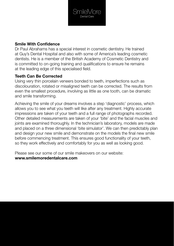

### **Smile With Confidence**

Dr Paul Abrahams has a special interest in cosmetic dentistry. He trained at Guy's Dental Hospital and also with some of America's leading cosmetic dentists. He is a member of the British Academy of Cosmetic Dentistry and is committed to on-going training and qualifications to ensure he remains at the leading edge of this specialised field.

### **Teeth Can Be Corrected**

Using very thin porcelain veneers bonded to teeth, imperfections such as discolouration, rotated or misaligned teeth can be corrected. The results from even the smallest procedure, involving as little as one tooth, can be dramatic and smile transforming.

Achieving the smile of your dreams involves a step 'diagnostic' process, which allows you to see what you teeth will like after any treatment. Highly accurate impressions are taken of your teeth and a full range of photographs recorded. Other detailed measurements are taken of your 'bite' and the facial muscles and joints are examined thoroughly. In the technician's laboratory, models are made and placed on a three dimensional 'bite simulator'. We can then predictably plan and design your new smile and demonstrate on the models the final new smile before commencing treatment. This ensures good functionality of your teeth, so they work effectively and comfortably for you as well as looking good.

Please see our some of our smile makeovers on our website:

#### **www.smilemoredentalcare.com**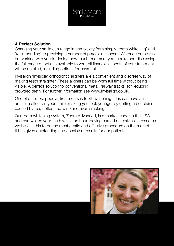

### **A Perfect Solution**

Changing your smile can range in complexity from simply 'tooth whitening' and 'resin bonding' to providing a number of porcelain veneers. We pride ourselves on working with you to decide how much treatment you require and discussing the full range of options available to you. All financial aspects of your treatment will be detailed, including options for payment.

Invisalign 'invisible' orthodontic aligners are a convenient and discreet way of making teeth straighter. These aligners can be worn full time without being visible. A perfect solution to conventional metal 'railway tracks' for reducing crowded teeth. For further information see www.invisalign.co.uk.

One of our most popular treatments is tooth whitening. This can have an amazing effect on your smile, making you look younger by getting rid of stains caused by tea, coffee, red wine and even smoking.

Our tooth whitening system, Zoom Advanced, is a market leader in the USA and can whiten your teeth within an hour. Having carried out extensive research we believe this to be the most gentle and effective procedure on the market. It has given outstanding and consistent results for our patients.

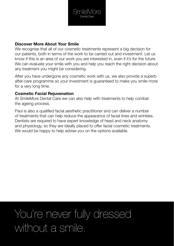

### **Discover More About Your Smile**

We recognise that all of our cosmetic treatments represent a big decision for our patients, both in terms of the work to be carried out and investment. Let us know if this is an area of our work you are interested in, even if it's for the future. We can evaluate your smile with you and help you reach the right decision about any treatment you might be considering.

After you have undergone any cosmetic work with us, we also provide a superb after-care programme so your investment is guaranteed to make you smile more for a very long time.

### **Cosmetic Facial Rejuvenation**

At SmileMore Dental Care we can also help with treatments to help combat the ageing process.

Paul is also a qualified facial aesthetic practitioner and can deliver a number of treatments that can help reduce the appearance of facial lines and wrinkles. Dentists are required to have expert knowledge of head and neck anatomy and physiology, so they are ideally placed to offer facial cosmetic treatments. We would be happy to help advise you on the options available.

## You're never fully dressed without a smile.